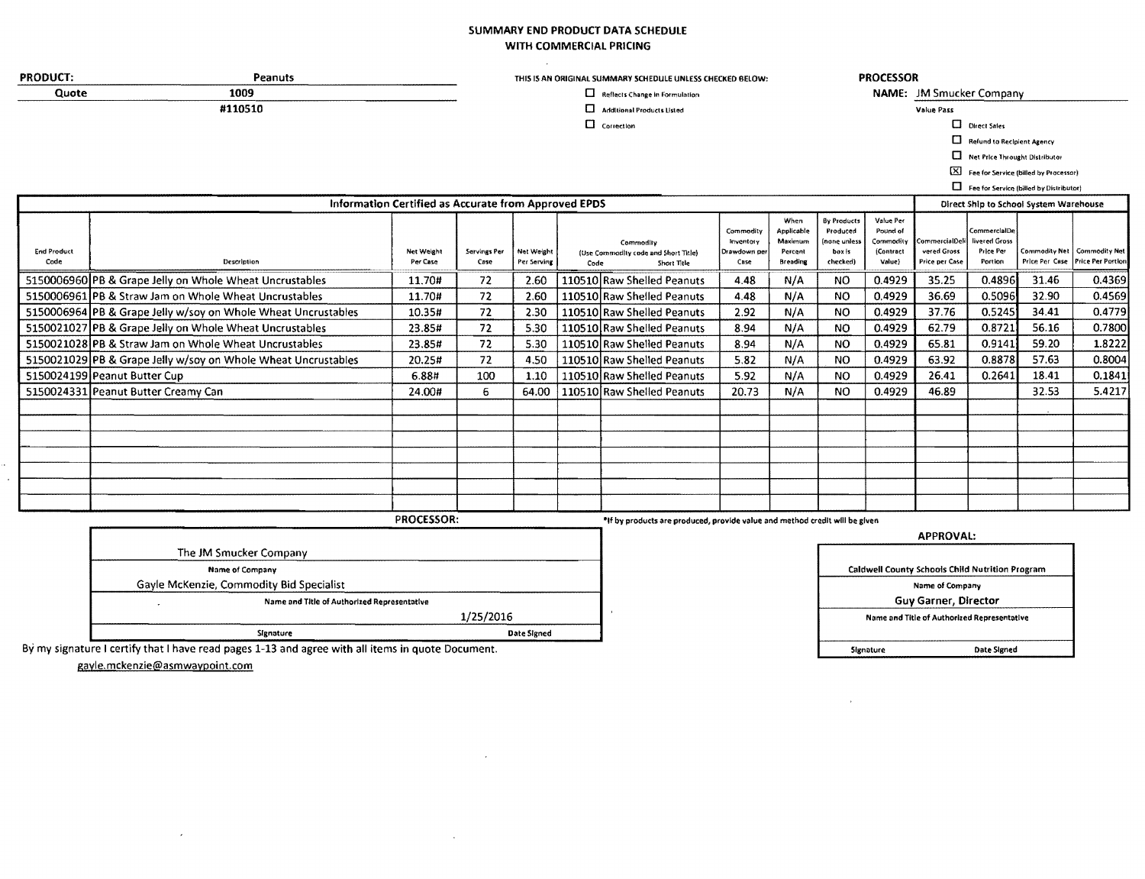## SUMMARY END PRODUCT DATA SCHEDULE WITH COMMERCIAL PRICING

| <b>PRODUCT:</b>            | Peanuts                                                       |                                                      |                      |                           |      | THIS IS AN ORIGINAL SUMMARY SCHEDULE UNLESS CHECKED BELOW:                  |                                                |                                                             |                                                              | <b>PROCESSOR</b>                                          |                                                        |                                                       |                                               |                                                    |
|----------------------------|---------------------------------------------------------------|------------------------------------------------------|----------------------|---------------------------|------|-----------------------------------------------------------------------------|------------------------------------------------|-------------------------------------------------------------|--------------------------------------------------------------|-----------------------------------------------------------|--------------------------------------------------------|-------------------------------------------------------|-----------------------------------------------|----------------------------------------------------|
| Quote                      | 1009                                                          |                                                      |                      |                           |      | Reflects Change in Formulation                                              |                                                |                                                             |                                                              |                                                           | NAME: JM Smucker Company                               |                                                       |                                               |                                                    |
|                            | #110510                                                       |                                                      |                      |                           |      | Additional Products Listed                                                  |                                                |                                                             |                                                              |                                                           | Value Pass                                             |                                                       |                                               |                                                    |
|                            |                                                               |                                                      |                      |                           |      | $\Box$ Correction                                                           |                                                |                                                             |                                                              |                                                           |                                                        | D Direct Sales                                        |                                               |                                                    |
|                            |                                                               |                                                      |                      |                           |      |                                                                             |                                                |                                                             |                                                              |                                                           |                                                        | Refund to Recipient Agency                            |                                               |                                                    |
|                            |                                                               |                                                      |                      |                           |      |                                                                             |                                                |                                                             |                                                              |                                                           | α                                                      | Net Price Throught Distributor                        |                                               |                                                    |
|                            |                                                               |                                                      |                      |                           |      |                                                                             |                                                |                                                             |                                                              |                                                           |                                                        |                                                       | [X] Fee for Service (billed by Processor)     |                                                    |
|                            |                                                               |                                                      |                      |                           |      |                                                                             |                                                |                                                             |                                                              |                                                           |                                                        |                                                       | Fee for Service (billed by Distributor)       |                                                    |
|                            |                                                               | Information Certified as Accurate from Approved EPDS |                      |                           |      |                                                                             |                                                |                                                             |                                                              |                                                           |                                                        |                                                       | <b>Direct Ship to School System Warehouse</b> |                                                    |
| <b>End Product</b><br>Code | Description                                                   | Net Weight<br>Per Case                               | Servings Per<br>Case | Net Weight<br>Per Serving | Code | Commodity<br>(Use Commodity code and Short Title)<br>Short Title            | Commodity<br>Inventory<br>Drawdown per<br>Case | When<br>Applicable<br>Maximum<br>Percent<br><b>Breading</b> | By Products<br>Produced<br>none unless<br>box is<br>checked) | Value Per<br>Pound of<br>Commodity<br>(Contract<br>Value) | CommercialDeil<br>vered Gross<br><b>Price per Case</b> | CommercialDe<br>livered Gross<br>Price Per<br>Portion | Price Per Case                                | Commodity Net   Commodity Net<br>Price Per Portion |
|                            | 5150006960 PB & Grape Jelly on Whole Wheat Uncrustables       | 11.70#                                               | 72                   | 2.60                      |      | 110510 Raw Shelled Peanuts                                                  | 4.48                                           | N/A                                                         | <b>NO</b>                                                    | 0.4929                                                    | 35.25                                                  | 0.4896                                                | 31.46                                         | 0.4369                                             |
|                            | 5150006961 PB & Straw Jam on Whole Wheat Uncrustables         | 11.70#                                               | 72                   | 2.60                      |      | 110510 Raw Shelled Peanuts                                                  | 4.48                                           | N/A                                                         | <b>NO</b>                                                    | 0.4929                                                    | 36.69                                                  | 0.5096                                                | 32.90                                         | 0.4569                                             |
|                            | 5150006964 PB & Grape Jelly w/soy on Whole Wheat Uncrustables | 10.35#                                               | 72                   | 2.30                      |      | 110510 Raw Shelled Peanuts                                                  | 2.92                                           | N/A                                                         | <b>NO</b>                                                    | 0.4929                                                    | 37.76                                                  | 0.5245                                                | 34.41                                         | 0.4779                                             |
|                            | 5150021027 PB & Grape Jelly on Whole Wheat Uncrustables       | 23.85#                                               | 72                   | 5.30                      |      | 110510 Raw Shelled Peanuts                                                  | 8.94                                           | N/A                                                         | <b>NO</b>                                                    | 0.4929                                                    | 62.79                                                  | 0.8721                                                | 56.16                                         | 0.7800                                             |
|                            | 5150021028 PB & Straw Jam on Whole Wheat Uncrustables         | 23.85#                                               | 72                   | 5.30                      |      | 110510 Raw Shelled Peanuts                                                  | 8.94                                           | N/A                                                         | <b>NO</b>                                                    | 0.4929                                                    | 65.81                                                  | 0.9141                                                | 59.20                                         | 1.8222                                             |
|                            | 5150021029 PB & Grape Jelly w/soy on Whole Wheat Uncrustables | 20.25#                                               | 72                   | 4.50                      |      | 110510 Raw Shelled Peanuts                                                  | 5.82                                           | N/A                                                         | <b>NO</b>                                                    | 0.4929                                                    | 63.92                                                  | 0.8878                                                | 57.63                                         | 0.8004                                             |
|                            | 5150024199 Peanut Butter Cup                                  | 6.88#                                                | 100                  | 1.10                      |      | 110510 Raw Shelled Peanuts                                                  | 5.92                                           | N/A                                                         | <b>NO</b>                                                    | 0.4929                                                    | 26.41                                                  | 0.2641                                                | 18.41                                         | 0.1841                                             |
|                            | 5150024331 Peanut Butter Creamy Can                           | 24.00#                                               | 6.                   | 64.00                     |      | 110510 Raw Shelled Peanuts                                                  | 20.73                                          | N/A                                                         | NO                                                           | 0.4929                                                    | 46.89                                                  |                                                       | 32.53                                         | 5.4217                                             |
|                            |                                                               |                                                      |                      |                           |      |                                                                             |                                                |                                                             |                                                              |                                                           |                                                        |                                                       |                                               |                                                    |
|                            |                                                               |                                                      |                      |                           |      |                                                                             |                                                |                                                             |                                                              |                                                           |                                                        |                                                       |                                               |                                                    |
|                            |                                                               |                                                      |                      |                           |      |                                                                             |                                                |                                                             |                                                              |                                                           |                                                        |                                                       |                                               |                                                    |
|                            |                                                               | PROCESSOR:                                           |                      |                           |      | *If by products are produced, provide value and method credit will be given |                                                |                                                             |                                                              |                                                           |                                                        |                                                       |                                               |                                                    |
|                            | The JM Smucker Company                                        |                                                      |                      |                           |      |                                                                             |                                                |                                                             |                                                              |                                                           | <b>APPROVAL:</b>                                       |                                                       |                                               |                                                    |

 $\sim$ 

 $\sim$ 

Name of Company Gayle McKenzie, Commodity Bid Specialist Name and Title of Authorized Representative  $\mathcal{L}$ 1/25/2016 Date Signed Signature

Caldwell County Schools Child Nutrition Program Name of Company Guy Garner, Director Name and Title of Authorized Representative Signature Date Signed

 $\alpha$  .

By my signature I certify that I have read pages 1-13 and agree with all items in quote Document.

gayle.mckenzie@asmwaypoint.com

 $\mathcal{A}^{\pm}$ 

a.